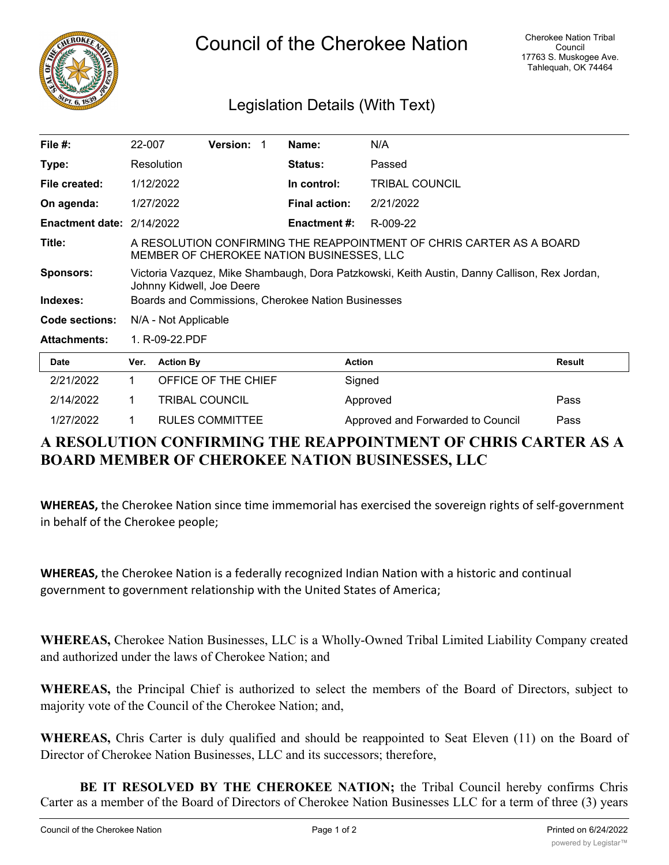

## Council of the Cherokee Nation

## Legislation Details (With Text)

| File $#$ :                | 22-007                                                                                                                    |                       | Version: 1             |  | Name:                | N/A                               |        |  |
|---------------------------|---------------------------------------------------------------------------------------------------------------------------|-----------------------|------------------------|--|----------------------|-----------------------------------|--------|--|
| Type:                     |                                                                                                                           | Resolution            |                        |  | Status:              | Passed                            |        |  |
| File created:             | 1/12/2022                                                                                                                 |                       |                        |  | In control:          | <b>TRIBAL COUNCIL</b>             |        |  |
| On agenda:                | 1/27/2022                                                                                                                 |                       |                        |  | <b>Final action:</b> | 2/21/2022                         |        |  |
| Enactment date: 2/14/2022 |                                                                                                                           |                       |                        |  | <b>Enactment #:</b>  | R-009-22                          |        |  |
| Title:                    | A RESOLUTION CONFIRMING THE REAPPOINTMENT OF CHRIS CARTER AS A BOARD<br>MEMBER OF CHEROKEE NATION BUSINESSES, LLC         |                       |                        |  |                      |                                   |        |  |
| <b>Sponsors:</b>          | Victoria Vazquez, Mike Shambaugh, Dora Patzkowski, Keith Austin, Danny Callison, Rex Jordan,<br>Johnny Kidwell, Joe Deere |                       |                        |  |                      |                                   |        |  |
| Indexes:                  | Boards and Commissions, Cherokee Nation Businesses                                                                        |                       |                        |  |                      |                                   |        |  |
| Code sections:            |                                                                                                                           | N/A - Not Applicable  |                        |  |                      |                                   |        |  |
| <b>Attachments:</b>       | 1. R-09-22.PDF                                                                                                            |                       |                        |  |                      |                                   |        |  |
| Date                      | Ver.                                                                                                                      | <b>Action By</b>      |                        |  |                      | <b>Action</b>                     | Result |  |
| 2/21/2022                 | 1.                                                                                                                        |                       | OFFICE OF THE CHIEF    |  |                      | Signed                            |        |  |
| 2/14/2022                 | 1.                                                                                                                        | <b>TRIBAL COUNCIL</b> |                        |  |                      | Approved                          | Pass   |  |
| 1/27/2022                 |                                                                                                                           |                       | <b>RULES COMMITTEE</b> |  |                      | Approved and Forwarded to Council | Pass   |  |

## **A RESOLUTION CONFIRMING THE REAPPOINTMENT OF CHRIS CARTER AS A BOARD MEMBER OF CHEROKEE NATION BUSINESSES, LLC**

**WHEREAS,** the Cherokee Nation since time immemorial has exercised the sovereign rights of self-government in behalf of the Cherokee people;

**WHEREAS,** the Cherokee Nation is a federally recognized Indian Nation with a historic and continual government to government relationship with the United States of America;

**WHEREAS,** Cherokee Nation Businesses, LLC is a Wholly-Owned Tribal Limited Liability Company created and authorized under the laws of Cherokee Nation; and

**WHEREAS,** the Principal Chief is authorized to select the members of the Board of Directors, subject to majority vote of the Council of the Cherokee Nation; and,

**WHEREAS,** Chris Carter is duly qualified and should be reappointed to Seat Eleven (11) on the Board of Director of Cherokee Nation Businesses, LLC and its successors; therefore,

**BE IT RESOLVED BY THE CHEROKEE NATION;** the Tribal Council hereby confirms Chris Carter as a member of the Board of Directors of Cherokee Nation Businesses LLC for a term of three (3) years

 $\overline{a}$